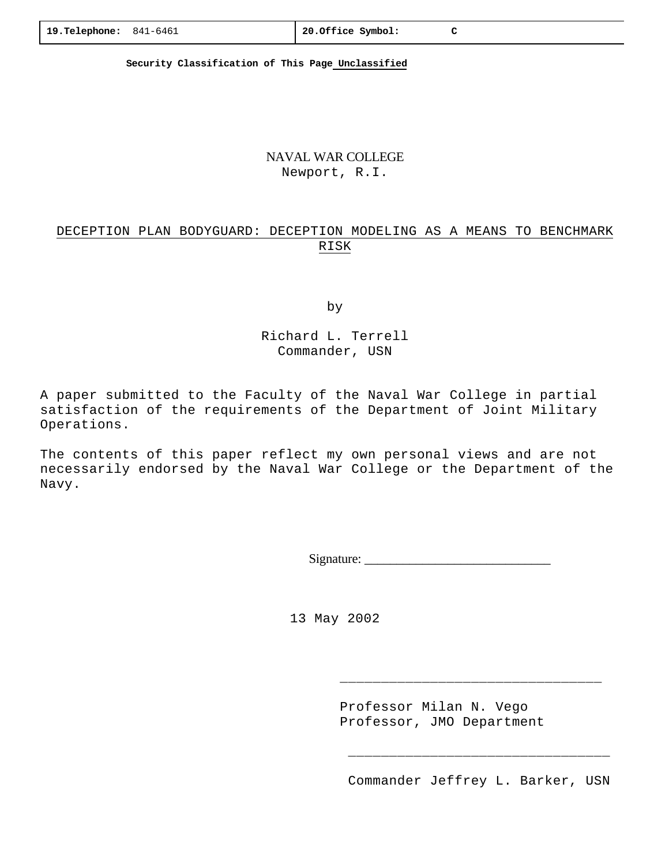**Security Classification of This Page Unclassified**

### NAVAL WAR COLLEGE Newport, R.I.

# DECEPTION PLAN BODYGUARD: DECEPTION MODELING AS A MEANS TO BENCHMARK RISK

by

Richard L. Terrell Commander, USN

A paper submitted to the Faculty of the Naval War College in partial satisfaction of the requirements of the Department of Joint Military Operations.

The contents of this paper reflect my own personal views and are not necessarily endorsed by the Naval War College or the Department of the Navy.

Signature: \_\_\_\_\_\_\_\_\_\_\_\_\_\_\_\_\_\_\_\_\_\_\_\_\_\_\_\_\_

13 May 2002

 Professor Milan N. Vego Professor, JMO Department

\_\_\_\_\_\_\_\_\_\_\_\_\_\_\_\_\_\_\_\_\_\_\_\_\_\_\_\_\_\_\_\_

\_\_\_\_\_\_\_\_\_\_\_\_\_\_\_\_\_\_\_\_\_\_\_\_\_\_\_\_\_\_\_\_

Commander Jeffrey L. Barker, USN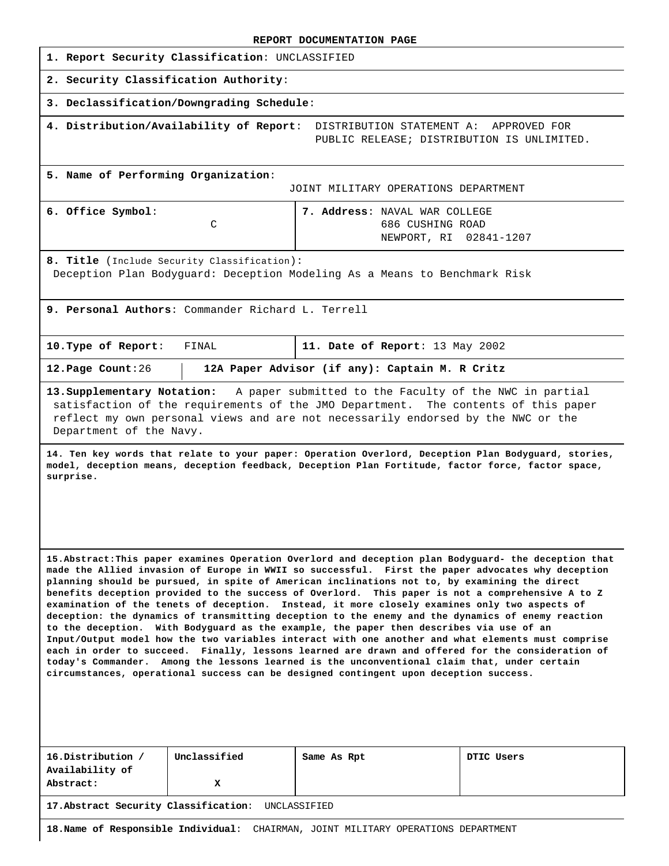|                                                                                                                          | REPORT DOCUMENTATION PAGE                                                                                                                                                                                                                                                                                                                                                                                                                                                                                                                                                                                                                                                                                                                                                                                                                                                                                                                                                                                                  |  |  |
|--------------------------------------------------------------------------------------------------------------------------|----------------------------------------------------------------------------------------------------------------------------------------------------------------------------------------------------------------------------------------------------------------------------------------------------------------------------------------------------------------------------------------------------------------------------------------------------------------------------------------------------------------------------------------------------------------------------------------------------------------------------------------------------------------------------------------------------------------------------------------------------------------------------------------------------------------------------------------------------------------------------------------------------------------------------------------------------------------------------------------------------------------------------|--|--|
| 1. Report Security Classification: UNCLASSIFIED                                                                          |                                                                                                                                                                                                                                                                                                                                                                                                                                                                                                                                                                                                                                                                                                                                                                                                                                                                                                                                                                                                                            |  |  |
| 2. Security Classification Authority:                                                                                    |                                                                                                                                                                                                                                                                                                                                                                                                                                                                                                                                                                                                                                                                                                                                                                                                                                                                                                                                                                                                                            |  |  |
| 3. Declassification/Downgrading Schedule:                                                                                |                                                                                                                                                                                                                                                                                                                                                                                                                                                                                                                                                                                                                                                                                                                                                                                                                                                                                                                                                                                                                            |  |  |
| 4. Distribution/Availability of Report:                                                                                  | DISTRIBUTION STATEMENT A:<br>APPROVED FOR<br>PUBLIC RELEASE; DISTRIBUTION IS UNLIMITED.                                                                                                                                                                                                                                                                                                                                                                                                                                                                                                                                                                                                                                                                                                                                                                                                                                                                                                                                    |  |  |
| 5. Name of Performing Organization:<br>JOINT MILITARY OPERATIONS DEPARTMENT                                              |                                                                                                                                                                                                                                                                                                                                                                                                                                                                                                                                                                                                                                                                                                                                                                                                                                                                                                                                                                                                                            |  |  |
| 6. Office Symbol:<br>C                                                                                                   | 7. Address: NAVAL WAR COLLEGE<br>686 CUSHING ROAD<br>NEWPORT, RI<br>02841-1207                                                                                                                                                                                                                                                                                                                                                                                                                                                                                                                                                                                                                                                                                                                                                                                                                                                                                                                                             |  |  |
| 8. Title (Include Security Classification):<br>Deception Plan Bodyguard: Deception Modeling As a Means to Benchmark Risk |                                                                                                                                                                                                                                                                                                                                                                                                                                                                                                                                                                                                                                                                                                                                                                                                                                                                                                                                                                                                                            |  |  |
| 9. Personal Authors: Commander Richard L. Terrell                                                                        |                                                                                                                                                                                                                                                                                                                                                                                                                                                                                                                                                                                                                                                                                                                                                                                                                                                                                                                                                                                                                            |  |  |
| 10. Type of Report:<br>FINAL                                                                                             | 11. Date of Report: 13 May 2002                                                                                                                                                                                                                                                                                                                                                                                                                                                                                                                                                                                                                                                                                                                                                                                                                                                                                                                                                                                            |  |  |
| 12. Page Count: 26                                                                                                       | 12A Paper Advisor (if any): Captain M. R Critz                                                                                                                                                                                                                                                                                                                                                                                                                                                                                                                                                                                                                                                                                                                                                                                                                                                                                                                                                                             |  |  |
| 13. Supplementary Notation:<br>Department of the Navy.                                                                   | A paper submitted to the Faculty of the NWC in partial<br>satisfaction of the requirements of the JMO Department. The contents of this paper<br>reflect my own personal views and are not necessarily endorsed by the NWC or the                                                                                                                                                                                                                                                                                                                                                                                                                                                                                                                                                                                                                                                                                                                                                                                           |  |  |
| surprise.                                                                                                                | 14. Ten key words that relate to your paper: Operation Overlord, Deception Plan Bodyquard, stories,<br>model, deception means, deception feedback, Deception Plan Fortitude, factor force, factor space,                                                                                                                                                                                                                                                                                                                                                                                                                                                                                                                                                                                                                                                                                                                                                                                                                   |  |  |
| circumstances, operational success can be designed contingent upon deception success.                                    | 15.Abstract: This paper examines Operation Overlord and deception plan Bodyguard- the deception that<br>made the Allied invasion of Europe in WWII so successful. First the paper advocates why deception<br>planning should be pursued, in spite of American inclinations not to, by examining the direct<br>benefits deception provided to the success of Overlord. This paper is not a comprehensive A to Z<br>examination of the tenets of deception. Instead, it more closely examines only two aspects of<br>deception: the dynamics of transmitting deception to the enemy and the dynamics of enemy reaction<br>to the deception. With Bodyguard as the example, the paper then describes via use of an<br>Input/Output model how the two variables interact with one another and what elements must comprise<br>each in order to succeed. Finally, lessons learned are drawn and offered for the consideration of<br>today's Commander. Among the lessons learned is the unconventional claim that, under certain |  |  |
|                                                                                                                          |                                                                                                                                                                                                                                                                                                                                                                                                                                                                                                                                                                                                                                                                                                                                                                                                                                                                                                                                                                                                                            |  |  |

| 16.Distribution              | Unclassified | Same As Rpt | DTIC Users |
|------------------------------|--------------|-------------|------------|
| Availability of<br>Abstract: | v<br>л.      |             |            |
|                              |              |             |            |

**17.Abstract Security Classification**: UNCLASSIFIED

**18.Name of Responsible Individual**: CHAIRMAN, JOINT MILITARY OPERATIONS DEPARTMENT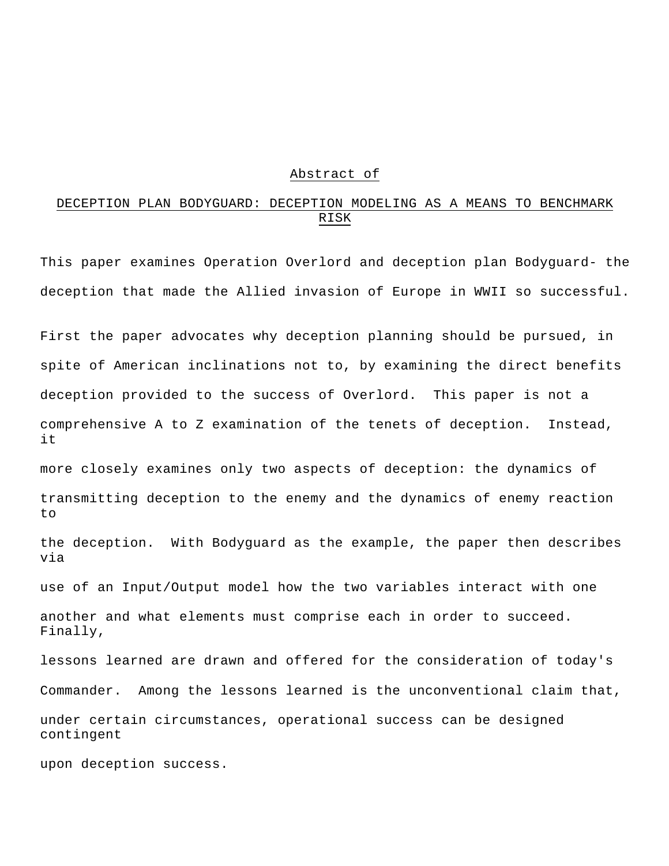#### Abstract of

# DECEPTION PLAN BODYGUARD: DECEPTION MODELING AS A MEANS TO BENCHMARK RISK

This paper examines Operation Overlord and deception plan Bodyguard- the deception that made the Allied invasion of Europe in WWII so successful.

First the paper advocates why deception planning should be pursued, in spite of American inclinations not to, by examining the direct benefits deception provided to the success of Overlord. This paper is not a comprehensive A to Z examination of the tenets of deception. Instead, it

more closely examines only two aspects of deception: the dynamics of transmitting deception to the enemy and the dynamics of enemy reaction to

the deception. With Bodyguard as the example, the paper then describes via

use of an Input/Output model how the two variables interact with one

another and what elements must comprise each in order to succeed. Finally,

lessons learned are drawn and offered for the consideration of today's Commander. Among the lessons learned is the unconventional claim that, under certain circumstances, operational success can be designed contingent

upon deception success.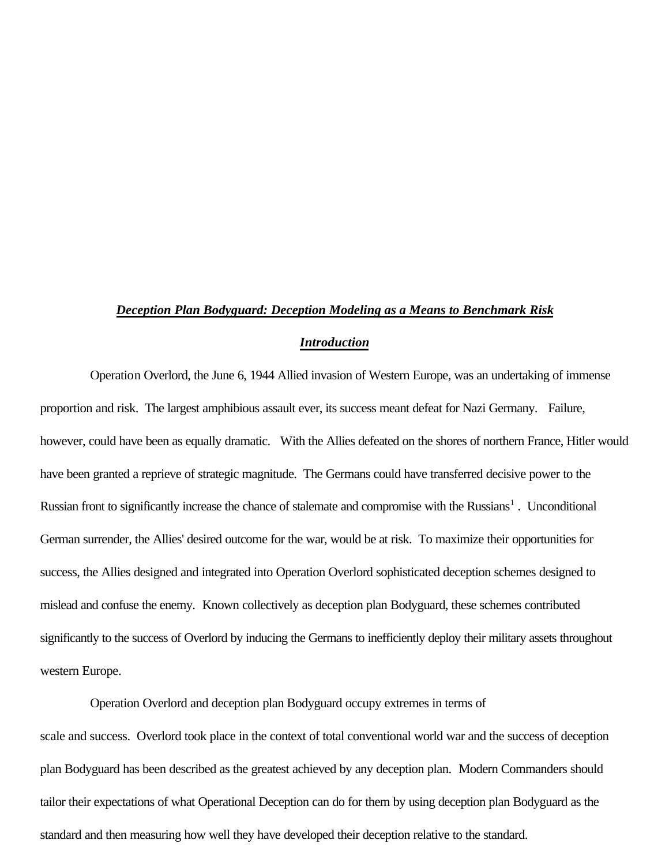# *Deception Plan Bodyguard: Deception Modeling as a Means to Benchmark Risk*

### *Introduction*

Operation Overlord, the June 6, 1944 Allied invasion of Western Europe, was an undertaking of immense proportion and risk. The largest amphibious assault ever, its success meant defeat for Nazi Germany. Failure, however, could have been as equally dramatic. With the Allies defeated on the shores of northern France, Hitler would have been granted a reprieve of strategic magnitude. The Germans could have transferred decisive power to the Russian front to significantly increase the chance of stalemate and compromise with the Russians<sup>1</sup>. Unconditional German surrender, the Allies' desired outcome for the war, would be at risk. To maximize their opportunities for success, the Allies designed and integrated into Operation Overlord sophisticated deception schemes designed to mislead and confuse the enemy. Known collectively as deception plan Bodyguard, these schemes contributed significantly to the success of Overlord by inducing the Germans to inefficiently deploy their military assets throughout western Europe.

Operation Overlord and deception plan Bodyguard occupy extremes in terms of scale and success. Overlord took place in the context of total conventional world war and the success of deception plan Bodyguard has been described as the greatest achieved by any deception plan. Modern Commanders should tailor their expectations of what Operational Deception can do for them by using deception plan Bodyguard as the standard and then measuring how well they have developed their deception relative to the standard.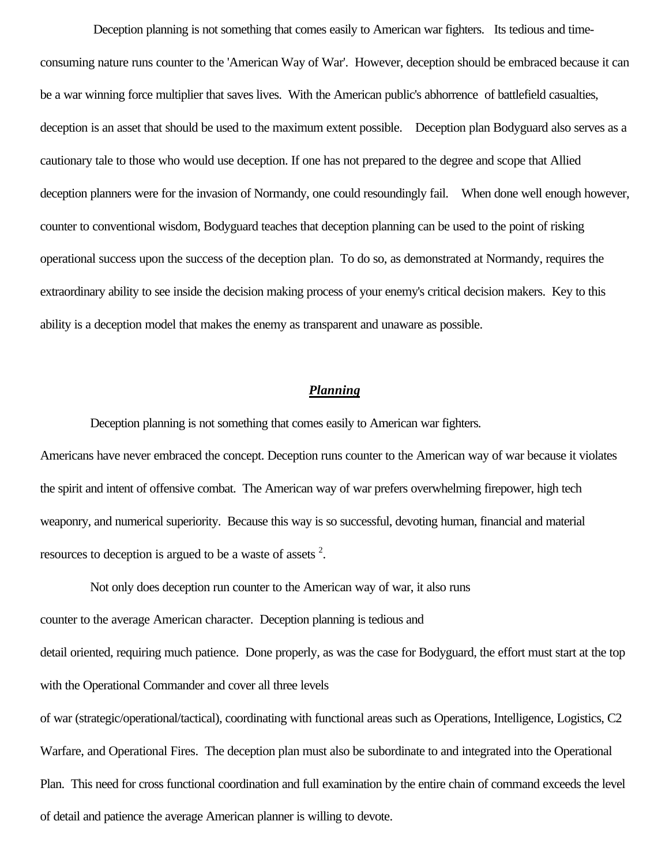Deception planning is not something that comes easily to American war fighters. Its tedious and timeconsuming nature runs counter to the 'American Way of War'. However, deception should be embraced because it can be a war winning force multiplier that saves lives. With the American public's abhorrence of battlefield casualties, deception is an asset that should be used to the maximum extent possible. Deception plan Bodyguard also serves as a cautionary tale to those who would use deception. If one has not prepared to the degree and scope that Allied deception planners were for the invasion of Normandy, one could resoundingly fail. When done well enough however, counter to conventional wisdom, Bodyguard teaches that deception planning can be used to the point of risking operational success upon the success of the deception plan. To do so, as demonstrated at Normandy, requires the extraordinary ability to see inside the decision making process of your enemy's critical decision makers. Key to this ability is a deception model that makes the enemy as transparent and unaware as possible.

## *Planning*

Deception planning is not something that comes easily to American war fighters.

Americans have never embraced the concept. Deception runs counter to the American way of war because it violates the spirit and intent of offensive combat. The American way of war prefers overwhelming firepower, high tech weaponry, and numerical superiority. Because this way is so successful, devoting human, financial and material resources to deception is argued to be a waste of assets  $2$ .

Not only does deception run counter to the American way of war, it also runs

counter to the average American character. Deception planning is tedious and

detail oriented, requiring much patience. Done properly, as was the case for Bodyguard, the effort must start at the top with the Operational Commander and cover all three levels

of war (strategic/operational/tactical), coordinating with functional areas such as Operations, Intelligence, Logistics, C2 Warfare, and Operational Fires. The deception plan must also be subordinate to and integrated into the Operational Plan. This need for cross functional coordination and full examination by the entire chain of command exceeds the level of detail and patience the average American planner is willing to devote.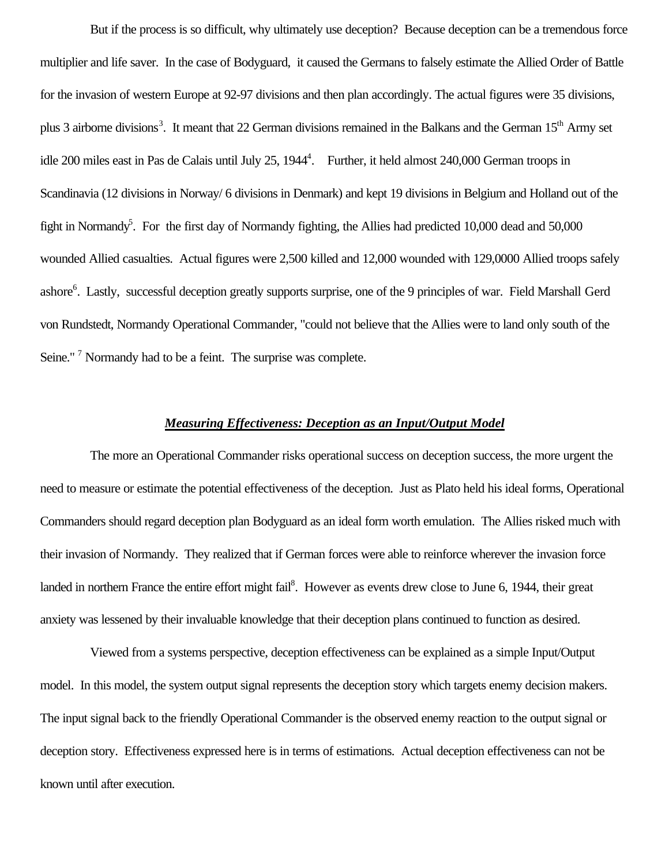But if the process is so difficult, why ultimately use deception? Because deception can be a tremendous force multiplier and life saver. In the case of Bodyguard, it caused the Germans to falsely estimate the Allied Order of Battle for the invasion of western Europe at 92-97 divisions and then plan accordingly. The actual figures were 35 divisions, plus 3 airborne divisions<sup>3</sup>. It meant that 22 German divisions remained in the Balkans and the German 15<sup>th</sup> Army set idle 200 miles east in Pas de Calais until July 25, 1944<sup>4</sup>. Further, it held almost 240,000 German troops in Scandinavia (12 divisions in Norway/ 6 divisions in Denmark) and kept 19 divisions in Belgium and Holland out of the fight in Normandy<sup>5</sup>. For the first day of Normandy fighting, the Allies had predicted 10,000 dead and 50,000 wounded Allied casualties. Actual figures were 2,500 killed and 12,000 wounded with 129,0000 Allied troops safely ashore<sup>6</sup>. Lastly, successful deception greatly supports surprise, one of the 9 principles of war. Field Marshall Gerd von Rundstedt, Normandy Operational Commander, "could not believe that the Allies were to land only south of the Seine."<sup>7</sup> Normandy had to be a feint. The surprise was complete.

# *Measuring Effectiveness: Deception as an Input/Output Model*

The more an Operational Commander risks operational success on deception success, the more urgent the need to measure or estimate the potential effectiveness of the deception. Just as Plato held his ideal forms, Operational Commanders should regard deception plan Bodyguard as an ideal form worth emulation. The Allies risked much with their invasion of Normandy. They realized that if German forces were able to reinforce wherever the invasion force landed in northern France the entire effort might fail<sup>8</sup>. However as events drew close to June 6, 1944, their great anxiety was lessened by their invaluable knowledge that their deception plans continued to function as desired.

Viewed from a systems perspective, deception effectiveness can be explained as a simple Input/Output model. In this model, the system output signal represents the deception story which targets enemy decision makers. The input signal back to the friendly Operational Commander is the observed enemy reaction to the output signal or deception story. Effectiveness expressed here is in terms of estimations. Actual deception effectiveness can not be known until after execution.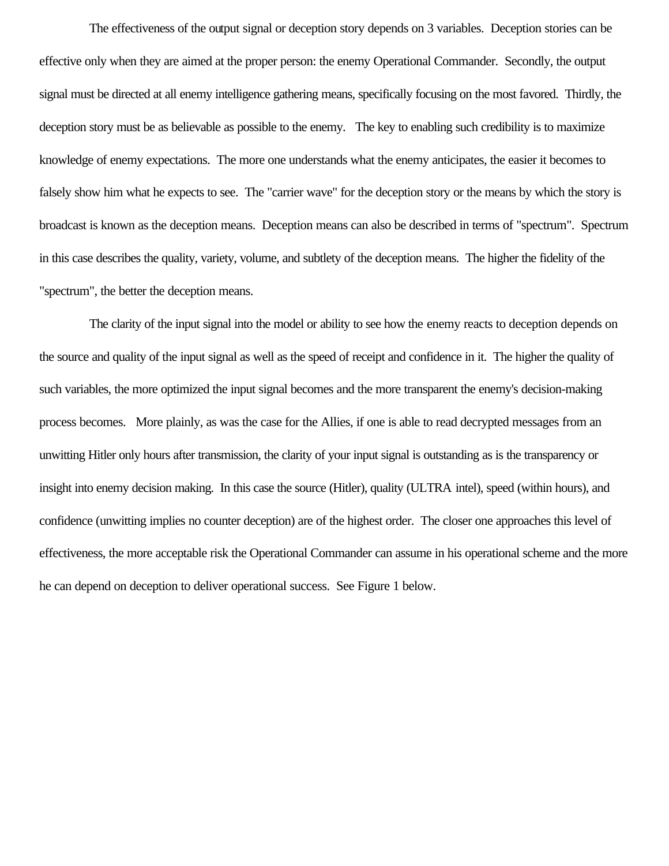The effectiveness of the output signal or deception story depends on 3 variables. Deception stories can be effective only when they are aimed at the proper person: the enemy Operational Commander. Secondly, the output signal must be directed at all enemy intelligence gathering means, specifically focusing on the most favored. Thirdly, the deception story must be as believable as possible to the enemy. The key to enabling such credibility is to maximize knowledge of enemy expectations. The more one understands what the enemy anticipates, the easier it becomes to falsely show him what he expects to see. The "carrier wave" for the deception story or the means by which the story is broadcast is known as the deception means. Deception means can also be described in terms of "spectrum". Spectrum in this case describes the quality, variety, volume, and subtlety of the deception means. The higher the fidelity of the "spectrum", the better the deception means.

The clarity of the input signal into the model or ability to see how the enemy reacts to deception depends on the source and quality of the input signal as well as the speed of receipt and confidence in it. The higher the quality of such variables, the more optimized the input signal becomes and the more transparent the enemy's decision-making process becomes. More plainly, as was the case for the Allies, if one is able to read decrypted messages from an unwitting Hitler only hours after transmission, the clarity of your input signal is outstanding as is the transparency or insight into enemy decision making. In this case the source (Hitler), quality (ULTRA intel), speed (within hours), and confidence (unwitting implies no counter deception) are of the highest order. The closer one approaches this level of effectiveness, the more acceptable risk the Operational Commander can assume in his operational scheme and the more he can depend on deception to deliver operational success. See Figure 1 below.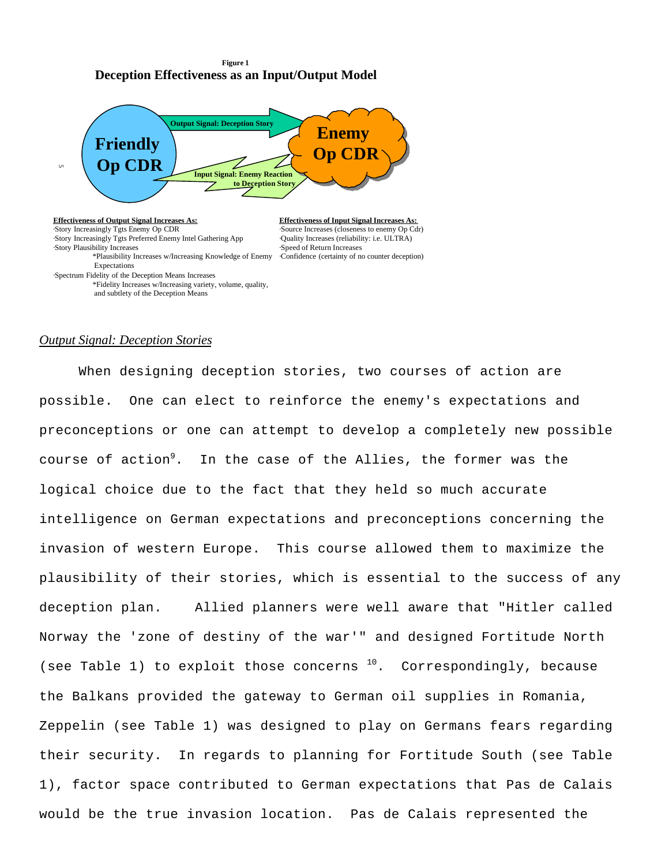#### **Figure 1 Deception Effectiveness as an Input/Output Model**



### *Output Signal: Deception Stories*

and subtlety of the Deception Means

When designing deception stories, two courses of action are possible. One can elect to reinforce the enemy's expectations and preconceptions or one can attempt to develop a completely new possible course of action<sup>9</sup>. In the case of the Allies, the former was the logical choice due to the fact that they held so much accurate intelligence on German expectations and preconceptions concerning the invasion of western Europe. This course allowed them to maximize the plausibility of their stories, which is essential to the success of any deception plan. Allied planners were well aware that "Hitler called Norway the 'zone of destiny of the war'" and designed Fortitude North (see Table 1) to exploit those concerns  $10$ . Correspondingly, because the Balkans provided the gateway to German oil supplies in Romania, Zeppelin (see Table 1) was designed to play on Germans fears regarding their security. In regards to planning for Fortitude South (see Table 1), factor space contributed to German expectations that Pas de Calais would be the true invasion location. Pas de Calais represented the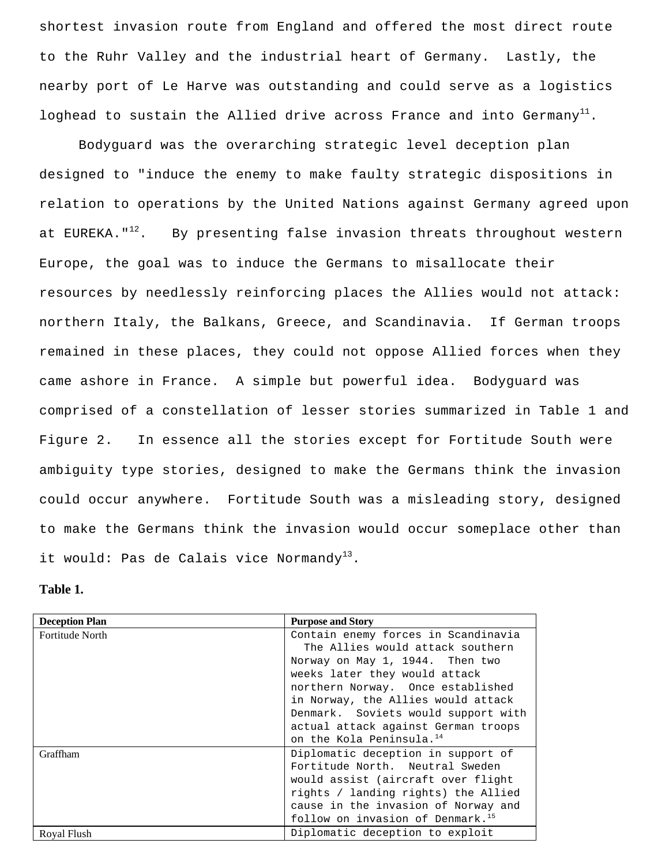shortest invasion route from England and offered the most direct route to the Ruhr Valley and the industrial heart of Germany. Lastly, the nearby port of Le Harve was outstanding and could serve as a logistics loghead to sustain the Allied drive across France and into Germany<sup>11</sup>.

Bodyguard was the overarching strategic level deception plan designed to "induce the enemy to make faulty strategic dispositions in relation to operations by the United Nations against Germany agreed upon at EUREKA." $^{12}$ . By presenting false invasion threats throughout western Europe, the goal was to induce the Germans to misallocate their resources by needlessly reinforcing places the Allies would not attack: northern Italy, the Balkans, Greece, and Scandinavia. If German troops remained in these places, they could not oppose Allied forces when they came ashore in France. A simple but powerful idea. Bodyguard was comprised of a constellation of lesser stories summarized in Table 1 and Figure 2. In essence all the stories except for Fortitude South were ambiguity type stories, designed to make the Germans think the invasion could occur anywhere. Fortitude South was a misleading story, designed to make the Germans think the invasion would occur someplace other than it would: Pas de Calais vice Normandy<sup>13</sup>.

### **Table 1.**

| <b>Deception Plan</b> | <b>Purpose and Story</b>                     |
|-----------------------|----------------------------------------------|
| Fortitude North       | Contain enemy forces in Scandinavia          |
|                       | The Allies would attack southern             |
|                       | Norway on May 1, 1944. Then two              |
|                       | weeks later they would attack                |
|                       | northern Norway. Once established            |
|                       | in Norway, the Allies would attack           |
|                       | Denmark. Soviets would support with          |
|                       | actual attack against German troops          |
|                       | on the Kola Peninsula. <sup>14</sup>         |
| Graffham              | Diplomatic deception in support of           |
|                       | Fortitude North, Neutral Sweden              |
|                       | would assist (aircraft over flight           |
|                       | rights / landing rights) the Allied          |
|                       | cause in the invasion of Norway and          |
|                       | follow on invasion of Denmark. <sup>15</sup> |
| Roval Flush           | Diplomatic deception to exploit              |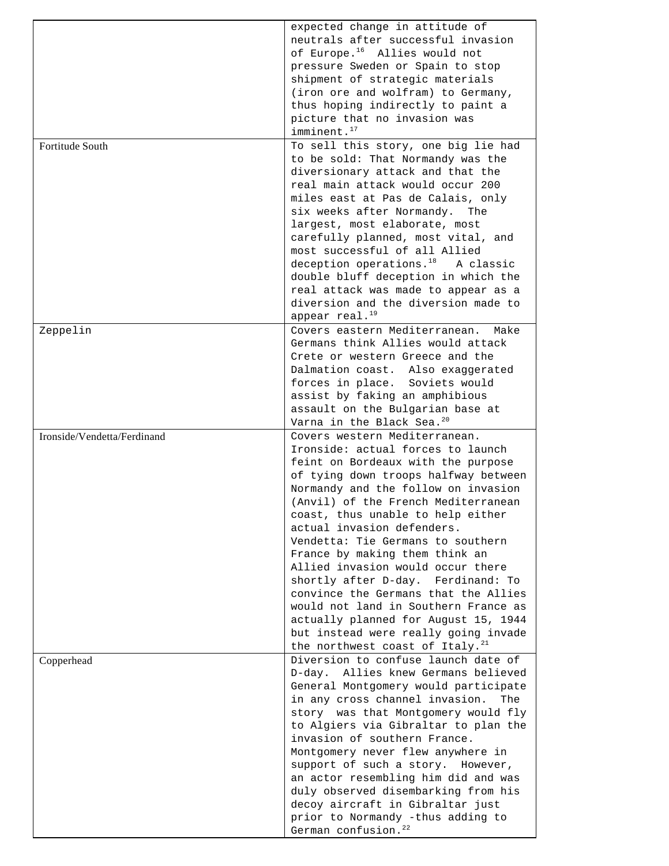|                             | expected change in attitude of<br>neutrals after successful invasion<br>of Europe. <sup>16</sup> Allies would not<br>pressure Sweden or Spain to stop<br>shipment of strategic materials<br>(iron ore and wolfram) to Germany, |
|-----------------------------|--------------------------------------------------------------------------------------------------------------------------------------------------------------------------------------------------------------------------------|
|                             | thus hoping indirectly to paint a<br>picture that no invasion was<br>imminent. <sup>17</sup>                                                                                                                                   |
|                             | To sell this story, one big lie had                                                                                                                                                                                            |
| Fortitude South             | to be sold: That Normandy was the<br>diversionary attack and that the<br>real main attack would occur 200<br>miles east at Pas de Calais, only<br>six weeks after Normandy.<br>The<br>largest, most elaborate, most            |
|                             | carefully planned, most vital, and                                                                                                                                                                                             |
|                             | most successful of all Allied                                                                                                                                                                                                  |
|                             | deception operations. <sup>18</sup> A classic                                                                                                                                                                                  |
|                             | double bluff deception in which the                                                                                                                                                                                            |
|                             | real attack was made to appear as a                                                                                                                                                                                            |
|                             | diversion and the diversion made to                                                                                                                                                                                            |
|                             | appear real. <sup>19</sup>                                                                                                                                                                                                     |
| Zeppelin                    | Covers eastern Mediterranean.<br>Make                                                                                                                                                                                          |
|                             | Germans think Allies would attack                                                                                                                                                                                              |
|                             | Crete or western Greece and the                                                                                                                                                                                                |
|                             | Dalmation coast. Also exaggerated                                                                                                                                                                                              |
|                             | forces in place. Soviets would                                                                                                                                                                                                 |
|                             | assist by faking an amphibious                                                                                                                                                                                                 |
|                             | assault on the Bulgarian base at                                                                                                                                                                                               |
|                             | Varna in the Black Sea. <sup>20</sup>                                                                                                                                                                                          |
|                             |                                                                                                                                                                                                                                |
| Ironside/Vendetta/Ferdinand | Covers western Mediterranean.                                                                                                                                                                                                  |
|                             | Ironside: actual forces to launch                                                                                                                                                                                              |
|                             | feint on Bordeaux with the purpose<br>of tying down troops halfway between                                                                                                                                                     |
|                             | Normandy and the follow on invasion                                                                                                                                                                                            |
|                             | (Anvil) of the French Mediterranean                                                                                                                                                                                            |
|                             | coast, thus unable to help either                                                                                                                                                                                              |
|                             | actual invasion defenders.                                                                                                                                                                                                     |
|                             | Vendetta: Tie Germans to southern                                                                                                                                                                                              |
|                             | France by making them think an                                                                                                                                                                                                 |
|                             | Allied invasion would occur there                                                                                                                                                                                              |
|                             | shortly after D-day. Ferdinand: To                                                                                                                                                                                             |
|                             | convince the Germans that the Allies                                                                                                                                                                                           |
|                             | would not land in Southern France as<br>actually planned for August 15, 1944                                                                                                                                                   |
|                             | but instead were really going invade                                                                                                                                                                                           |
|                             | the northwest coast of Italy. <sup>21</sup>                                                                                                                                                                                    |
| Copperhead                  | Diversion to confuse launch date of                                                                                                                                                                                            |
|                             | D-day. Allies knew Germans believed                                                                                                                                                                                            |
|                             | General Montgomery would participate                                                                                                                                                                                           |
|                             | in any cross channel invasion.<br>The                                                                                                                                                                                          |
|                             | story was that Montgomery would fly                                                                                                                                                                                            |
|                             | to Algiers via Gibraltar to plan the                                                                                                                                                                                           |
|                             | invasion of southern France.                                                                                                                                                                                                   |
|                             | Montgomery never flew anywhere in                                                                                                                                                                                              |
|                             | support of such a story. However,                                                                                                                                                                                              |
|                             | an actor resembling him did and was<br>duly observed disembarking from his                                                                                                                                                     |
|                             | decoy aircraft in Gibraltar just                                                                                                                                                                                               |
|                             | prior to Normandy -thus adding to                                                                                                                                                                                              |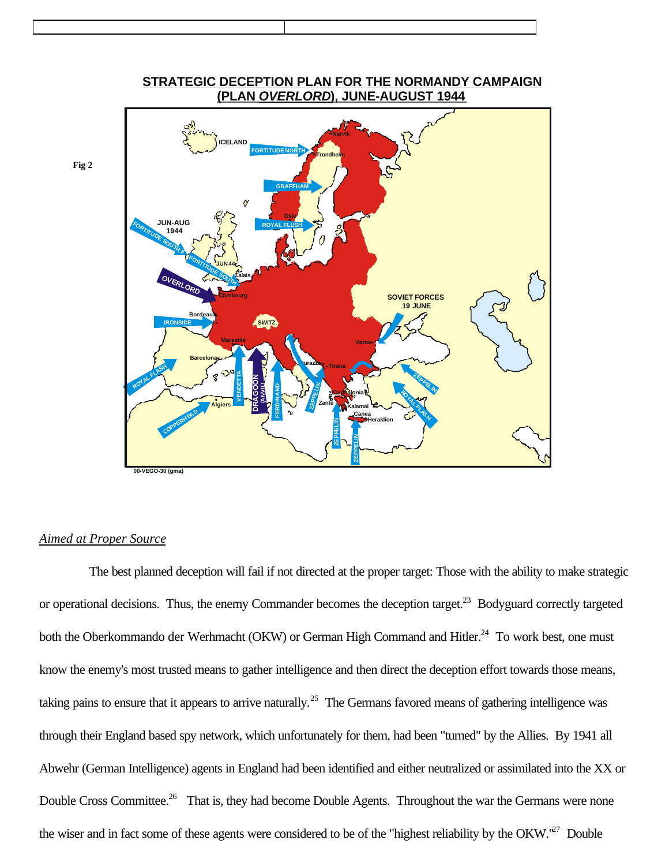

# **STRATEGIC DECEPTION PLAN FOR THE NORMANDY CAMPAIGN (PLAN ),** *OVERLORD* **JUNE-AUGUST 1944**

# *Aimed at Proper Source*

**Fig 2**

The best planned deception will fail if not directed at the proper target: Those with the ability to make strategic or operational decisions. Thus, the enemy Commander becomes the deception target.<sup>23</sup> Bodyguard correctly targeted both the Oberkommando der Werhmacht (OKW) or German High Command and Hitler.<sup>24</sup> To work best, one must know the enemy's most trusted means to gather intelligence and then direct the deception effort towards those means, taking pains to ensure that it appears to arrive naturally.<sup>25</sup> The Germans favored means of gathering intelligence was through their England based spy network, which unfortunately for them, had been "turned" by the Allies. By 1941 all Abwehr (German Intelligence) agents in England had been identified and either neutralized or assimilated into the XX or Double Cross Committee.<sup>26</sup> That is, they had become Double Agents. Throughout the war the Germans were none the wiser and in fact some of these agents were considered to be of the "highest reliability by the OKW."<sup>27</sup> Double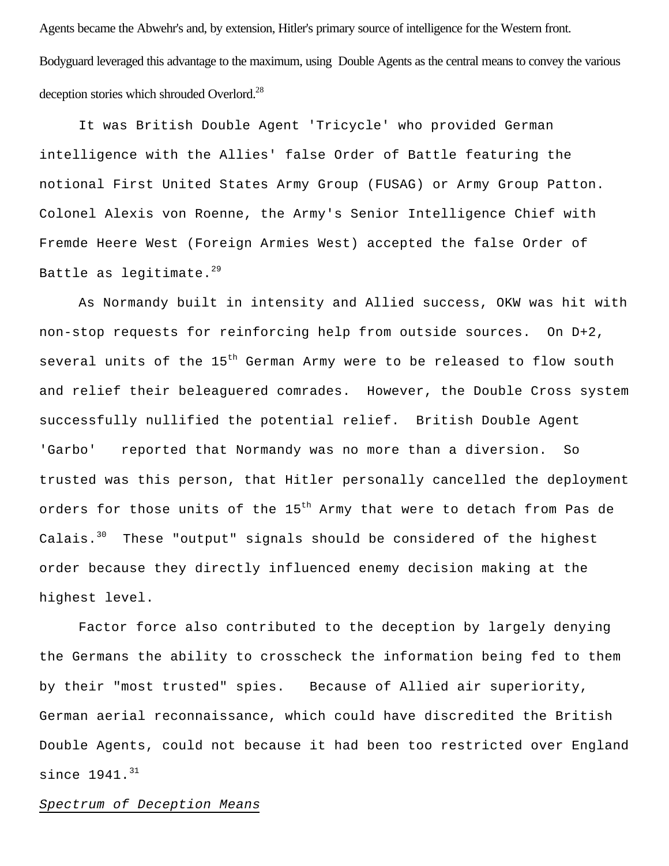Agents became the Abwehr's and, by extension, Hitler's primary source of intelligence for the Western front. Bodyguard leveraged this advantage to the maximum, using Double Agents as the central means to convey the various deception stories which shrouded Overlord.<sup>28</sup>

It was British Double Agent 'Tricycle' who provided German intelligence with the Allies' false Order of Battle featuring the notional First United States Army Group (FUSAG) or Army Group Patton. Colonel Alexis von Roenne, the Army's Senior Intelligence Chief with Fremde Heere West (Foreign Armies West) accepted the false Order of Battle as legitimate. $^{29}$ 

As Normandy built in intensity and Allied success, OKW was hit with non-stop requests for reinforcing help from outside sources. On D+2, several units of the  $15<sup>th</sup>$  German Army were to be released to flow south and relief their beleaguered comrades. However, the Double Cross system successfully nullified the potential relief. British Double Agent 'Garbo' reported that Normandy was no more than a diversion. So trusted was this person, that Hitler personally cancelled the deployment orders for those units of the  $15<sup>th</sup>$  Army that were to detach from Pas de Calais. $30$  These "output" signals should be considered of the highest order because they directly influenced enemy decision making at the highest level.

Factor force also contributed to the deception by largely denying the Germans the ability to crosscheck the information being fed to them by their "most trusted" spies. Because of Allied air superiority, German aerial reconnaissance, which could have discredited the British Double Agents, could not because it had been too restricted over England since  $1941.^{31}$ 

#### *Spectrum of Deception Means*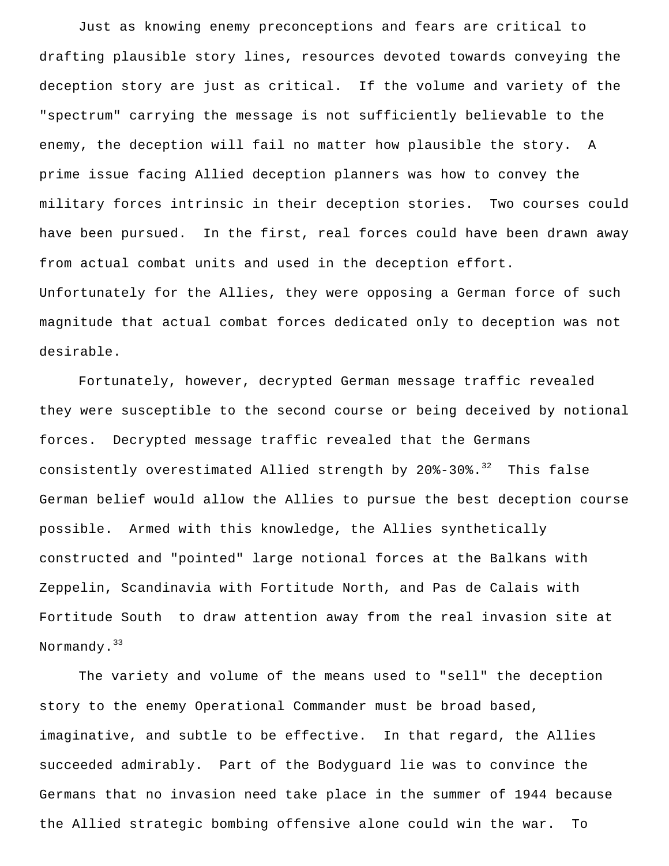Just as knowing enemy preconceptions and fears are critical to drafting plausible story lines, resources devoted towards conveying the deception story are just as critical. If the volume and variety of the "spectrum" carrying the message is not sufficiently believable to the enemy, the deception will fail no matter how plausible the story. A prime issue facing Allied deception planners was how to convey the military forces intrinsic in their deception stories. Two courses could have been pursued. In the first, real forces could have been drawn away from actual combat units and used in the deception effort. Unfortunately for the Allies, they were opposing a German force of such magnitude that actual combat forces dedicated only to deception was not desirable.

Fortunately, however, decrypted German message traffic revealed they were susceptible to the second course or being deceived by notional forces. Decrypted message traffic revealed that the Germans consistently overestimated Allied strength by  $20\text{--}30\text{--}30\text{--}32$  This false German belief would allow the Allies to pursue the best deception course possible. Armed with this knowledge, the Allies synthetically constructed and "pointed" large notional forces at the Balkans with Zeppelin, Scandinavia with Fortitude North, and Pas de Calais with Fortitude South to draw attention away from the real invasion site at Normandy.<sup>33</sup>

The variety and volume of the means used to "sell" the deception story to the enemy Operational Commander must be broad based, imaginative, and subtle to be effective. In that regard, the Allies succeeded admirably. Part of the Bodyguard lie was to convince the Germans that no invasion need take place in the summer of 1944 because the Allied strategic bombing offensive alone could win the war. To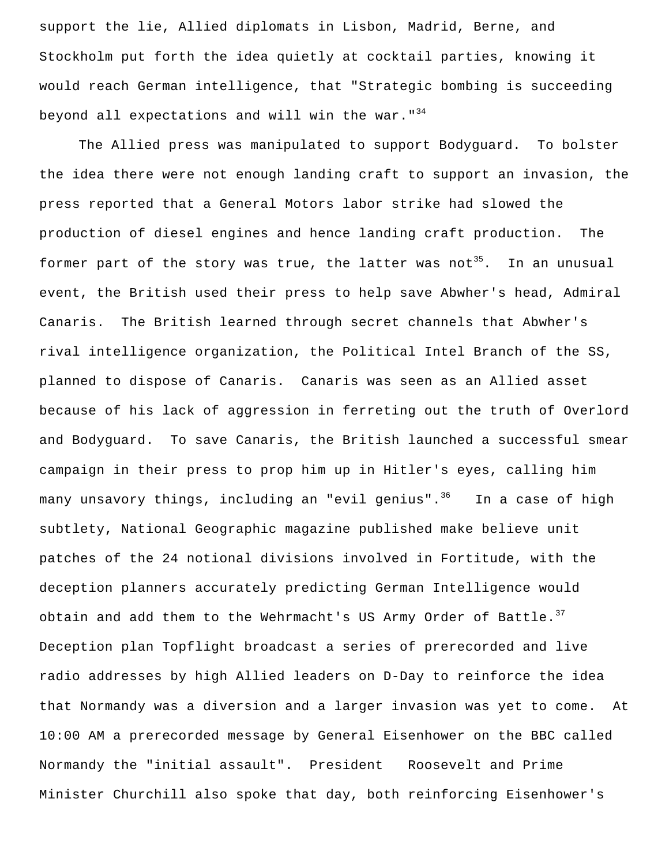support the lie, Allied diplomats in Lisbon, Madrid, Berne, and Stockholm put forth the idea quietly at cocktail parties, knowing it would reach German intelligence, that "Strategic bombing is succeeding beyond all expectations and will win the war.  $134$ 

The Allied press was manipulated to support Bodyguard. To bolster the idea there were not enough landing craft to support an invasion, the press reported that a General Motors labor strike had slowed the production of diesel engines and hence landing craft production. The former part of the story was true, the latter was not<sup>35</sup>. In an unusual event, the British used their press to help save Abwher's head, Admiral Canaris. The British learned through secret channels that Abwher's rival intelligence organization, the Political Intel Branch of the SS, planned to dispose of Canaris. Canaris was seen as an Allied asset because of his lack of aggression in ferreting out the truth of Overlord and Bodyguard. To save Canaris, the British launched a successful smear campaign in their press to prop him up in Hitler's eyes, calling him many unsavory things, including an "evil genius".<sup>36</sup> In a case of high subtlety, National Geographic magazine published make believe unit patches of the 24 notional divisions involved in Fortitude, with the deception planners accurately predicting German Intelligence would obtain and add them to the Wehrmacht's US Army Order of Battle.  $37$ Deception plan Topflight broadcast a series of prerecorded and live radio addresses by high Allied leaders on D-Day to reinforce the idea that Normandy was a diversion and a larger invasion was yet to come. At 10:00 AM a prerecorded message by General Eisenhower on the BBC called Normandy the "initial assault". President Roosevelt and Prime Minister Churchill also spoke that day, both reinforcing Eisenhower's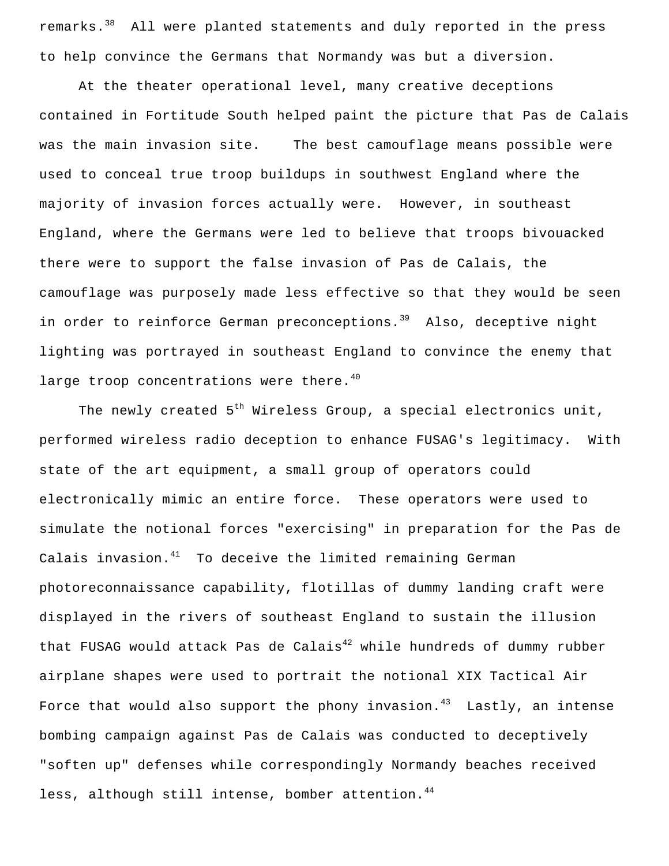remarks.<sup>38</sup> All were planted statements and duly reported in the press to help convince the Germans that Normandy was but a diversion.

At the theater operational level, many creative deceptions contained in Fortitude South helped paint the picture that Pas de Calais was the main invasion site. The best camouflage means possible were used to conceal true troop buildups in southwest England where the majority of invasion forces actually were. However, in southeast England, where the Germans were led to believe that troops bivouacked there were to support the false invasion of Pas de Calais, the camouflage was purposely made less effective so that they would be seen in order to reinforce German preconceptions.<sup>39</sup> Also, deceptive night lighting was portrayed in southeast England to convince the enemy that large troop concentrations were there. $40$ 

The newly created  $5<sup>th</sup>$  Wireless Group, a special electronics unit, performed wireless radio deception to enhance FUSAG's legitimacy. With state of the art equipment, a small group of operators could electronically mimic an entire force. These operators were used to simulate the notional forces "exercising" in preparation for the Pas de Calais invasion. $41$  To deceive the limited remaining German photoreconnaissance capability, flotillas of dummy landing craft were displayed in the rivers of southeast England to sustain the illusion that FUSAG would attack Pas de Calais $^{42}$  while hundreds of dummy rubber airplane shapes were used to portrait the notional XIX Tactical Air Force that would also support the phony invasion. $43$  Lastly, an intense bombing campaign against Pas de Calais was conducted to deceptively "soften up" defenses while correspondingly Normandy beaches received less, although still intense, bomber attention.<sup>44</sup>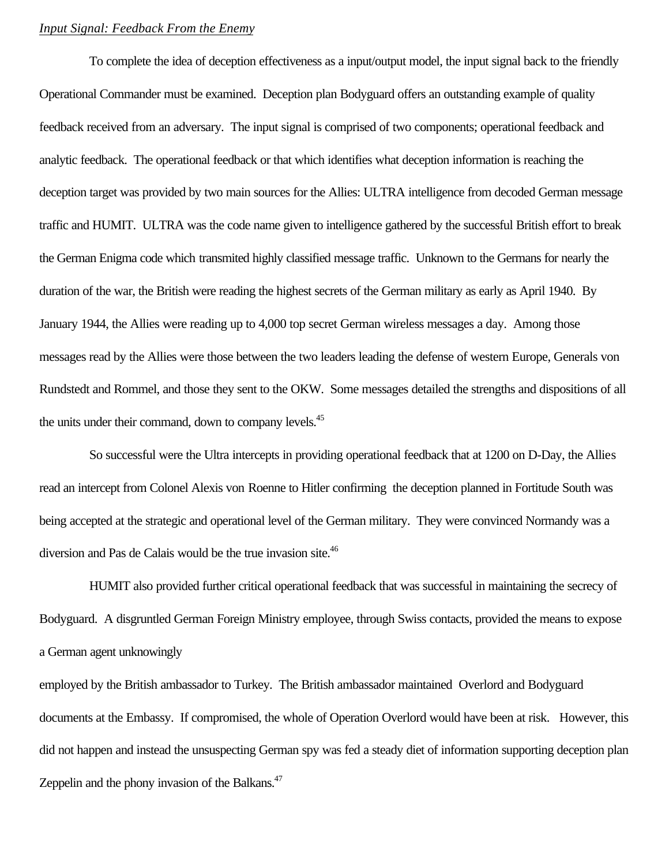### *Input Signal: Feedback From the Enemy*

To complete the idea of deception effectiveness as a input/output model, the input signal back to the friendly Operational Commander must be examined. Deception plan Bodyguard offers an outstanding example of quality feedback received from an adversary. The input signal is comprised of two components; operational feedback and analytic feedback. The operational feedback or that which identifies what deception information is reaching the deception target was provided by two main sources for the Allies: ULTRA intelligence from decoded German message traffic and HUMIT. ULTRA was the code name given to intelligence gathered by the successful British effort to break the German Enigma code which transmited highly classified message traffic. Unknown to the Germans for nearly the duration of the war, the British were reading the highest secrets of the German military as early as April 1940. By January 1944, the Allies were reading up to 4,000 top secret German wireless messages a day. Among those messages read by the Allies were those between the two leaders leading the defense of western Europe, Generals von Rundstedt and Rommel, and those they sent to the OKW. Some messages detailed the strengths and dispositions of all the units under their command, down to company levels.<sup>45</sup>

So successful were the Ultra intercepts in providing operational feedback that at 1200 on D-Day, the Allies read an intercept from Colonel Alexis von Roenne to Hitler confirming the deception planned in Fortitude South was being accepted at the strategic and operational level of the German military. They were convinced Normandy was a diversion and Pas de Calais would be the true invasion site.<sup>46</sup>

HUMIT also provided further critical operational feedback that was successful in maintaining the secrecy of Bodyguard. A disgruntled German Foreign Ministry employee, through Swiss contacts, provided the means to expose a German agent unknowingly

employed by the British ambassador to Turkey. The British ambassador maintained Overlord and Bodyguard documents at the Embassy. If compromised, the whole of Operation Overlord would have been at risk. However, this did not happen and instead the unsuspecting German spy was fed a steady diet of information supporting deception plan Zeppelin and the phony invasion of the Balkans.<sup>47</sup>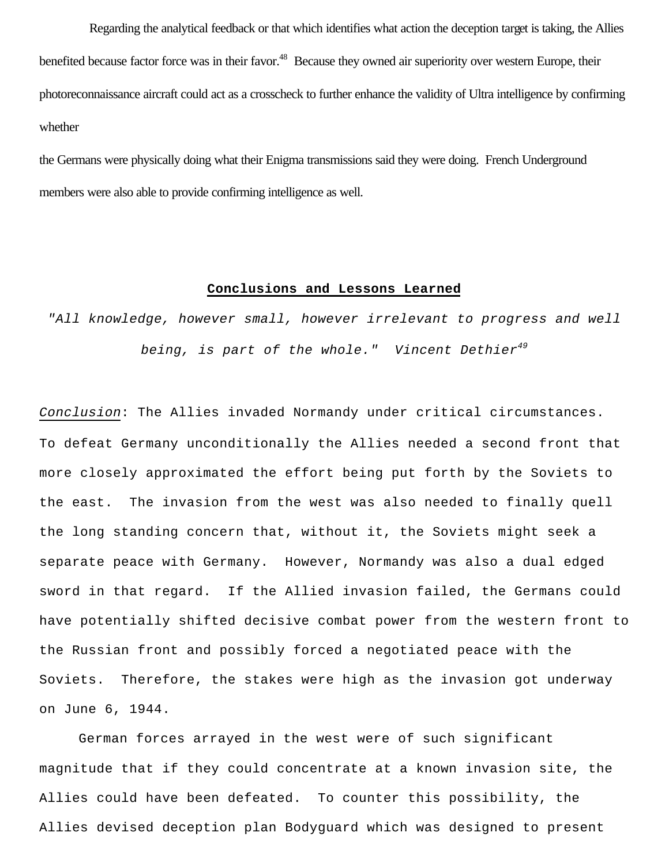Regarding the analytical feedback or that which identifies what action the deception target is taking, the Allies benefited because factor force was in their favor.<sup>48</sup> Because they owned air superiority over western Europe, their photoreconnaissance aircraft could act as a crosscheck to further enhance the validity of Ultra intelligence by confirming whether

the Germans were physically doing what their Enigma transmissions said they were doing. French Underground members were also able to provide confirming intelligence as well.

### **Conclusions and Lessons Learned**

*"All knowledge, however small, however irrelevant to progress and well being, is part of the whole." Vincent Dethier<sup>49</sup>*

*Conclusion*: The Allies invaded Normandy under critical circumstances. To defeat Germany unconditionally the Allies needed a second front that more closely approximated the effort being put forth by the Soviets to the east. The invasion from the west was also needed to finally quell the long standing concern that, without it, the Soviets might seek a separate peace with Germany. However, Normandy was also a dual edged sword in that regard. If the Allied invasion failed, the Germans could have potentially shifted decisive combat power from the western front to the Russian front and possibly forced a negotiated peace with the Soviets. Therefore, the stakes were high as the invasion got underway on June 6, 1944.

German forces arrayed in the west were of such significant magnitude that if they could concentrate at a known invasion site, the Allies could have been defeated. To counter this possibility, the Allies devised deception plan Bodyguard which was designed to present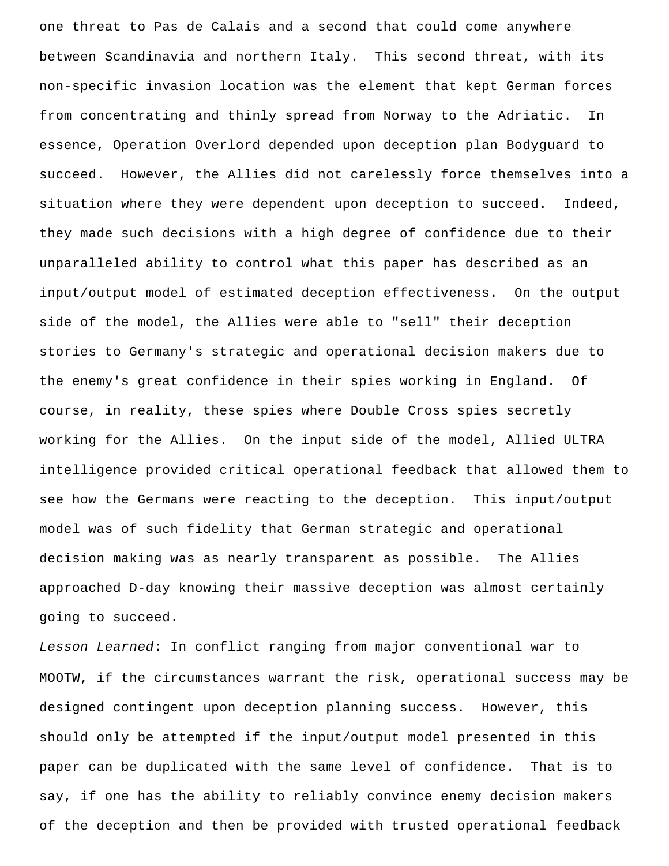one threat to Pas de Calais and a second that could come anywhere between Scandinavia and northern Italy. This second threat, with its non-specific invasion location was the element that kept German forces from concentrating and thinly spread from Norway to the Adriatic. In essence, Operation Overlord depended upon deception plan Bodyguard to succeed. However, the Allies did not carelessly force themselves into a situation where they were dependent upon deception to succeed. Indeed, they made such decisions with a high degree of confidence due to their unparalleled ability to control what this paper has described as an input/output model of estimated deception effectiveness. On the output side of the model, the Allies were able to "sell" their deception stories to Germany's strategic and operational decision makers due to the enemy's great confidence in their spies working in England. Of course, in reality, these spies where Double Cross spies secretly working for the Allies. On the input side of the model, Allied ULTRA intelligence provided critical operational feedback that allowed them to see how the Germans were reacting to the deception. This input/output model was of such fidelity that German strategic and operational decision making was as nearly transparent as possible. The Allies approached D-day knowing their massive deception was almost certainly going to succeed.

*Lesson Learned*: In conflict ranging from major conventional war to MOOTW, if the circumstances warrant the risk, operational success may be designed contingent upon deception planning success. However, this should only be attempted if the input/output model presented in this paper can be duplicated with the same level of confidence. That is to say, if one has the ability to reliably convince enemy decision makers of the deception and then be provided with trusted operational feedback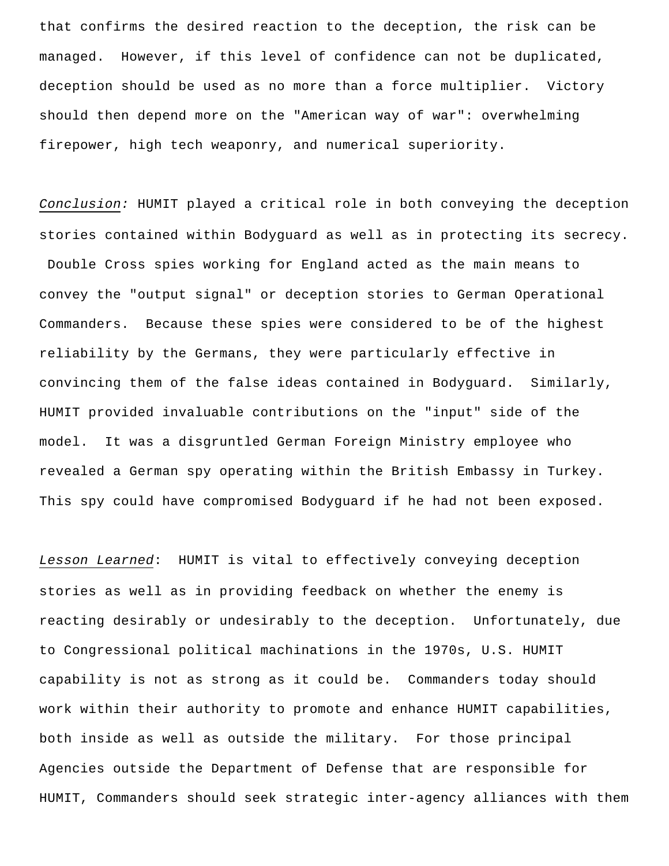that confirms the desired reaction to the deception, the risk can be managed. However, if this level of confidence can not be duplicated, deception should be used as no more than a force multiplier. Victory should then depend more on the "American way of war": overwhelming firepower, high tech weaponry, and numerical superiority.

*Conclusion:* HUMIT played a critical role in both conveying the deception stories contained within Bodyguard as well as in protecting its secrecy. Double Cross spies working for England acted as the main means to convey the "output signal" or deception stories to German Operational Commanders. Because these spies were considered to be of the highest reliability by the Germans, they were particularly effective in convincing them of the false ideas contained in Bodyguard. Similarly, HUMIT provided invaluable contributions on the "input" side of the model. It was a disgruntled German Foreign Ministry employee who revealed a German spy operating within the British Embassy in Turkey. This spy could have compromised Bodyguard if he had not been exposed.

*Lesson Learned*: HUMIT is vital to effectively conveying deception stories as well as in providing feedback on whether the enemy is reacting desirably or undesirably to the deception. Unfortunately, due to Congressional political machinations in the 1970s, U.S. HUMIT capability is not as strong as it could be. Commanders today should work within their authority to promote and enhance HUMIT capabilities, both inside as well as outside the military. For those principal Agencies outside the Department of Defense that are responsible for HUMIT, Commanders should seek strategic inter-agency alliances with them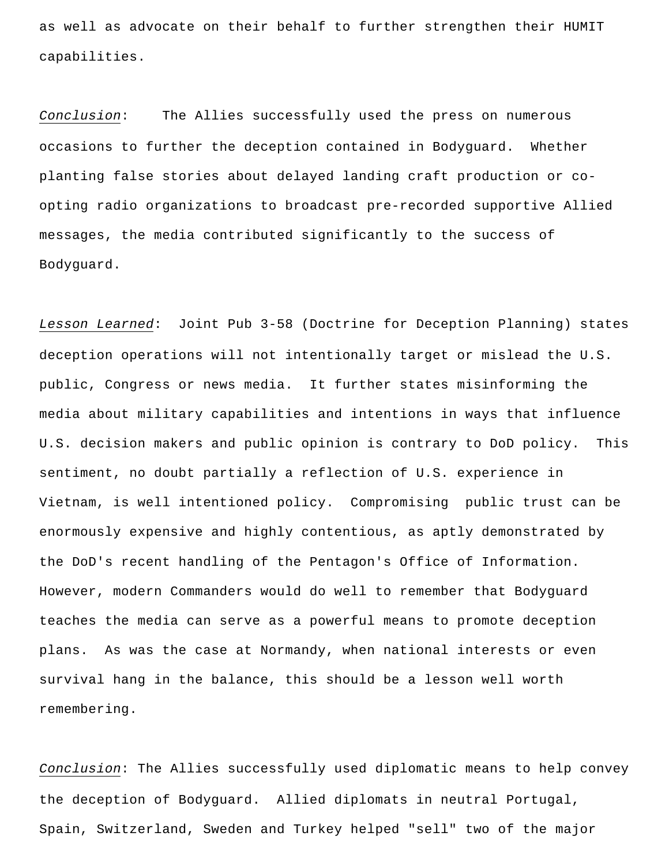as well as advocate on their behalf to further strengthen their HUMIT capabilities.

*Conclusion*: The Allies successfully used the press on numerous occasions to further the deception contained in Bodyguard. Whether planting false stories about delayed landing craft production or coopting radio organizations to broadcast pre-recorded supportive Allied messages, the media contributed significantly to the success of Bodyguard.

*Lesson Learned*: Joint Pub 3-58 (Doctrine for Deception Planning) states deception operations will not intentionally target or mislead the U.S. public, Congress or news media. It further states misinforming the media about military capabilities and intentions in ways that influence U.S. decision makers and public opinion is contrary to DoD policy. This sentiment, no doubt partially a reflection of U.S. experience in Vietnam, is well intentioned policy. Compromising public trust can be enormously expensive and highly contentious, as aptly demonstrated by the DoD's recent handling of the Pentagon's Office of Information. However, modern Commanders would do well to remember that Bodyguard teaches the media can serve as a powerful means to promote deception plans. As was the case at Normandy, when national interests or even survival hang in the balance, this should be a lesson well worth remembering.

*Conclusion*: The Allies successfully used diplomatic means to help convey the deception of Bodyguard. Allied diplomats in neutral Portugal, Spain, Switzerland, Sweden and Turkey helped "sell" two of the major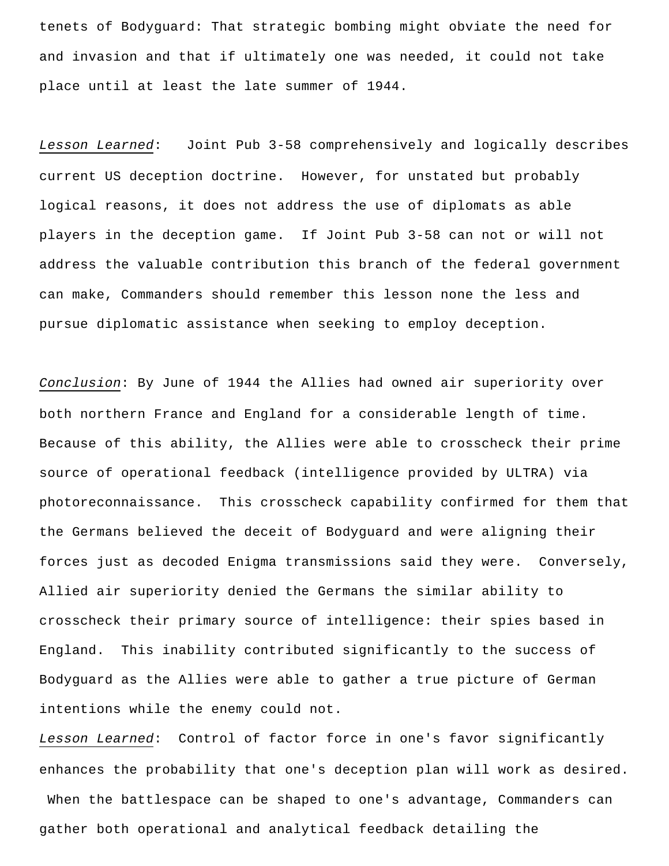tenets of Bodyguard: That strategic bombing might obviate the need for and invasion and that if ultimately one was needed, it could not take place until at least the late summer of 1944.

*Lesson Learned*: Joint Pub 3-58 comprehensively and logically describes current US deception doctrine. However, for unstated but probably logical reasons, it does not address the use of diplomats as able players in the deception game. If Joint Pub 3-58 can not or will not address the valuable contribution this branch of the federal government can make, Commanders should remember this lesson none the less and pursue diplomatic assistance when seeking to employ deception.

*Conclusion*: By June of 1944 the Allies had owned air superiority over both northern France and England for a considerable length of time. Because of this ability, the Allies were able to crosscheck their prime source of operational feedback (intelligence provided by ULTRA) via photoreconnaissance. This crosscheck capability confirmed for them that the Germans believed the deceit of Bodyguard and were aligning their forces just as decoded Enigma transmissions said they were. Conversely, Allied air superiority denied the Germans the similar ability to crosscheck their primary source of intelligence: their spies based in England. This inability contributed significantly to the success of Bodyguard as the Allies were able to gather a true picture of German intentions while the enemy could not.

*Lesson Learned*: Control of factor force in one's favor significantly enhances the probability that one's deception plan will work as desired. When the battlespace can be shaped to one's advantage, Commanders can gather both operational and analytical feedback detailing the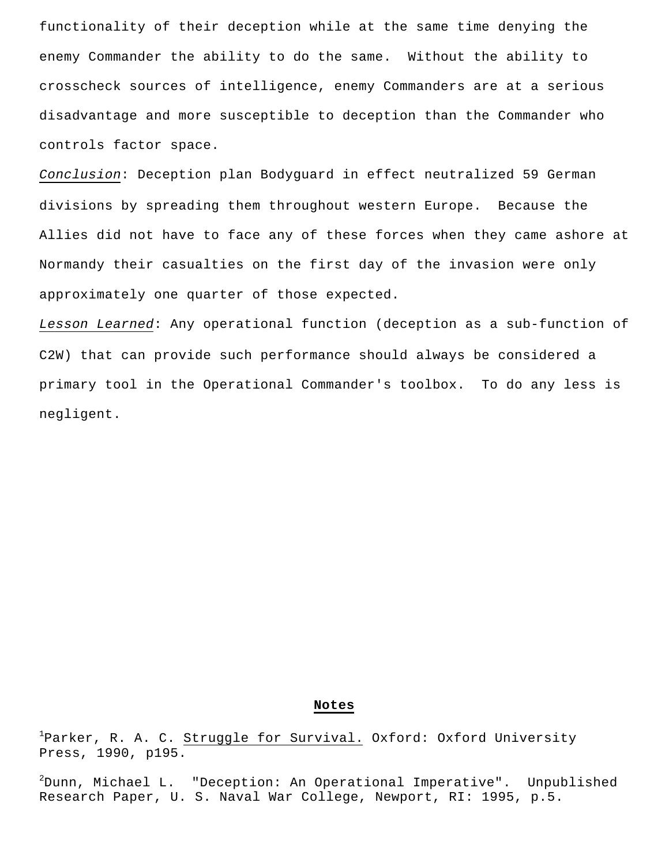functionality of their deception while at the same time denying the enemy Commander the ability to do the same. Without the ability to crosscheck sources of intelligence, enemy Commanders are at a serious disadvantage and more susceptible to deception than the Commander who controls factor space.

*Conclusion*: Deception plan Bodyguard in effect neutralized 59 German divisions by spreading them throughout western Europe. Because the Allies did not have to face any of these forces when they came ashore at Normandy their casualties on the first day of the invasion were only approximately one quarter of those expected.

*Lesson Learned*: Any operational function (deception as a sub-function of C2W) that can provide such performance should always be considered a primary tool in the Operational Commander's toolbox. To do any less is negligent.

#### **Notes**

<sup>1</sup>Parker, R. A. C. Struggle for Survival. Oxford: Oxford University Press, 1990, p195.

 $^{2}$ Dunn, Michael L. "Deception: An Operational Imperative". Unpublished Research Paper, U. S. Naval War College, Newport, RI: 1995, p.5.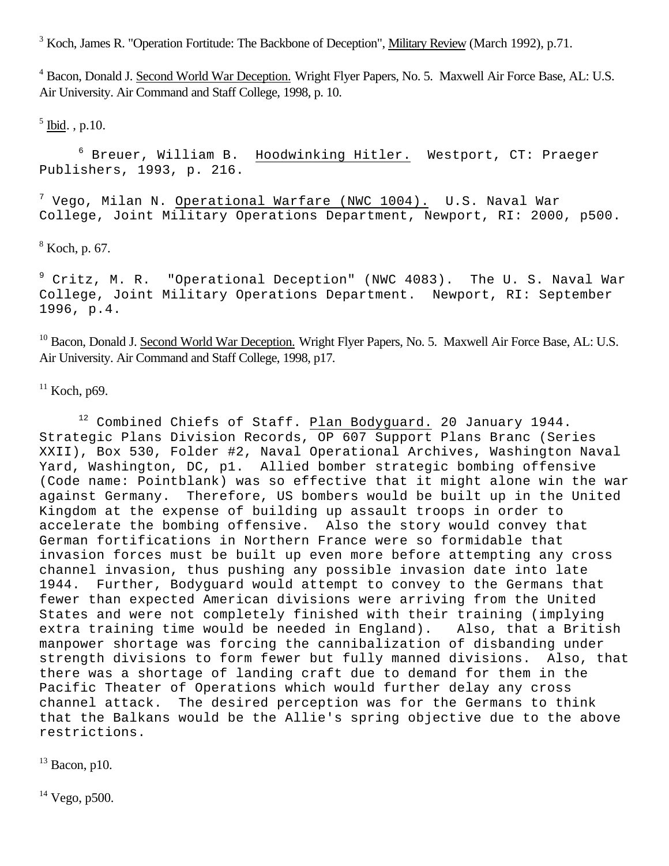<sup>3</sup> Koch, James R. "Operation Fortitude: The Backbone of Deception", Military Review (March 1992), p.71.

<sup>4</sup> Bacon, Donald J. Second World War Deception. Wright Flyer Papers, No. 5. Maxwell Air Force Base, AL: U.S. Air University. Air Command and Staff College, 1998, p. 10.

 $<sup>5</sup>$  Ibid., p.10.</sup>

<sup>6</sup> Breuer, William B. Hoodwinking Hitler. Westport, CT: Praeger Publishers, 1993, p. 216.

 $^7$  Vego, Milan N. Operational Warfare (NWC 1004). U.S. Naval War College, Joint Military Operations Department, Newport, RI: 2000, p500.

8 Koch, p. 67.

<sup>9</sup> Critz, M. R. "Operational Deception" (NWC 4083). The U. S. Naval War College, Joint Military Operations Department. Newport, RI: September 1996, p.4.

<sup>10</sup> Bacon, Donald J. Second World War Deception. Wright Flyer Papers, No. 5. Maxwell Air Force Base, AL: U.S. Air University. Air Command and Staff College, 1998, p17.

 $11$  Koch, p69.

<sup>12</sup> Combined Chiefs of Staff. Plan Bodyguard. 20 January 1944. Strategic Plans Division Records, OP 607 Support Plans Branc (Series XXII), Box 530, Folder #2, Naval Operational Archives, Washington Naval Yard, Washington, DC, p1. Allied bomber strategic bombing offensive (Code name: Pointblank) was so effective that it might alone win the war against Germany. Therefore, US bombers would be built up in the United Kingdom at the expense of building up assault troops in order to accelerate the bombing offensive. Also the story would convey that German fortifications in Northern France were so formidable that invasion forces must be built up even more before attempting any cross channel invasion, thus pushing any possible invasion date into late 1944. Further, Bodyguard would attempt to convey to the Germans that fewer than expected American divisions were arriving from the United States and were not completely finished with their training (implying<br>extra training time would be needed in England). Also, that a British extra training time would be needed in England). manpower shortage was forcing the cannibalization of disbanding under strength divisions to form fewer but fully manned divisions. Also, that there was a shortage of landing craft due to demand for them in the Pacific Theater of Operations which would further delay any cross channel attack. The desired perception was for the Germans to think that the Balkans would be the Allie's spring objective due to the above restrictions.

 $13$  Bacon, p10.

 $14$  Vego, p500.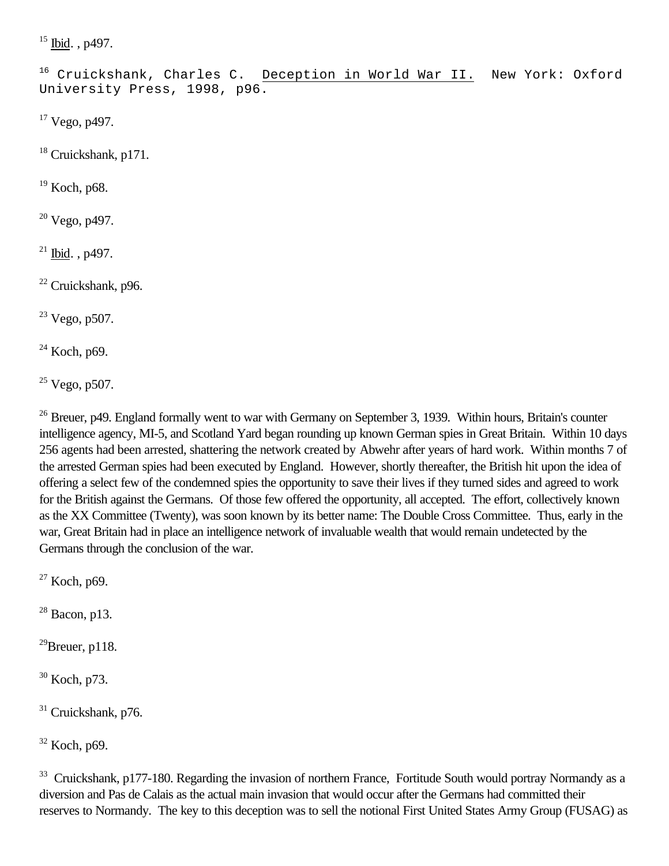$15$  Ibid., p497.

<sup>16</sup> Cruickshank, Charles C. Deception in World War II. New York: Oxford University Press, 1998, p96.

<sup>17</sup> Vego, p497.

<sup>18</sup> Cruickshank, p171.

<sup>19</sup> Koch, p68.

<sup>20</sup> Vego, p497.

 $21$  Ibid., p497.

<sup>22</sup> Cruickshank, p96.

<sup>23</sup> Vego, p507.

 $24$  Koch, p69.

 $25$  Vego, p507.

 $26$  Breuer, p49. England formally went to war with Germany on September 3, 1939. Within hours, Britain's counter intelligence agency, MI-5, and Scotland Yard began rounding up known German spies in Great Britain. Within 10 days 256 agents had been arrested, shattering the network created by Abwehr after years of hard work. Within months 7 of the arrested German spies had been executed by England. However, shortly thereafter, the British hit upon the idea of offering a select few of the condemned spies the opportunity to save their lives if they turned sides and agreed to work for the British against the Germans. Of those few offered the opportunity, all accepted. The effort, collectively known as the XX Committee (Twenty), was soon known by its better name: The Double Cross Committee. Thus, early in the war, Great Britain had in place an intelligence network of invaluable wealth that would remain undetected by the Germans through the conclusion of the war.

 $27$  Koch, p69.

 $28$  Bacon, p13.

 $^{29}$ Breuer, p118.

<sup>30</sup> Koch, p73.

<sup>31</sup> Cruickshank, p76.

 $32$  Koch, p69.

<sup>33</sup> Cruickshank, p177-180. Regarding the invasion of northern France, Fortitude South would portray Normandy as a diversion and Pas de Calais as the actual main invasion that would occur after the Germans had committed their reserves to Normandy. The key to this deception was to sell the notional First United States Army Group (FUSAG) as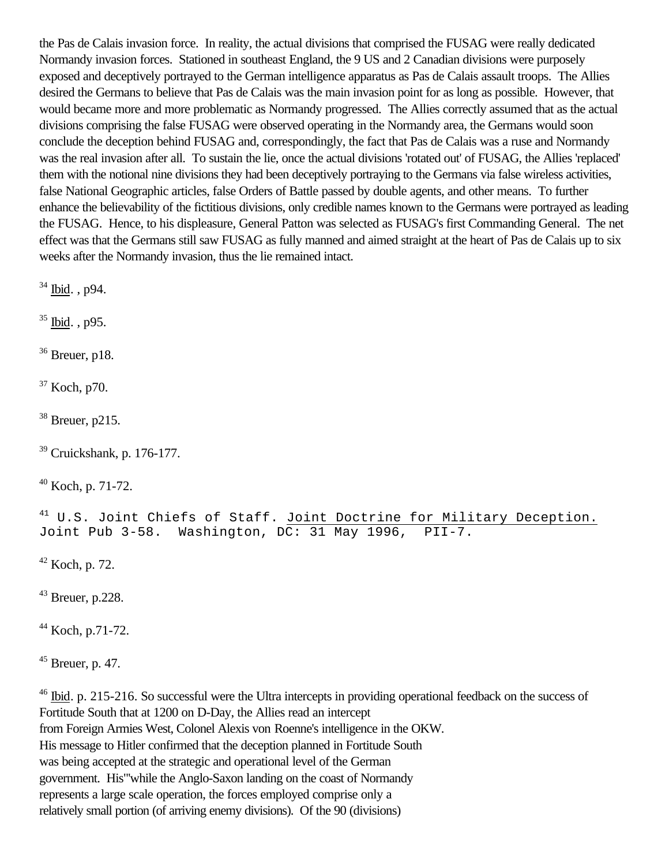the Pas de Calais invasion force. In reality, the actual divisions that comprised the FUSAG were really dedicated Normandy invasion forces. Stationed in southeast England, the 9 US and 2 Canadian divisions were purposely exposed and deceptively portrayed to the German intelligence apparatus as Pas de Calais assault troops. The Allies desired the Germans to believe that Pas de Calais was the main invasion point for as long as possible. However, that would became more and more problematic as Normandy progressed. The Allies correctly assumed that as the actual divisions comprising the false FUSAG were observed operating in the Normandy area, the Germans would soon conclude the deception behind FUSAG and, correspondingly, the fact that Pas de Calais was a ruse and Normandy was the real invasion after all. To sustain the lie, once the actual divisions 'rotated out' of FUSAG, the Allies 'replaced' them with the notional nine divisions they had been deceptively portraying to the Germans via false wireless activities, false National Geographic articles, false Orders of Battle passed by double agents, and other means. To further enhance the believability of the fictitious divisions, only credible names known to the Germans were portrayed as leading the FUSAG. Hence, to his displeasure, General Patton was selected as FUSAG's first Commanding General. The net effect was that the Germans still saw FUSAG as fully manned and aimed straight at the heart of Pas de Calais up to six weeks after the Normandy invasion, thus the lie remained intact.

<sup>34</sup> Ibid. , p94.

<sup>35</sup> Ibid. , p95.

 $36$  Breuer, p18.

<sup>37</sup> Koch, p70.

 $38$  Breuer, p215.

<sup>39</sup> Cruickshank, p. 176-177.

 $40$  Koch, p. 71-72.

<sup>41</sup> U.S. Joint Chiefs of Staff. Joint Doctrine for Military Deception. Joint Pub 3-58. Washington, DC: 31 May 1996, PII-7.

 $42$  Koch, p. 72.

 $43$  Breuer, p.228.

 $44$  Koch, p.71-72.

 $45$  Breuer, p. 47.

<sup>46</sup> Ibid. p. 215-216. So successful were the Ultra intercepts in providing operational feedback on the success of Fortitude South that at 1200 on D-Day, the Allies read an intercept from Foreign Armies West, Colonel Alexis von Roenne's intelligence in the OKW. His message to Hitler confirmed that the deception planned in Fortitude South was being accepted at the strategic and operational level of the German government. His"'while the Anglo-Saxon landing on the coast of Normandy represents a large scale operation, the forces employed comprise only a relatively small portion (of arriving enemy divisions). Of the 90 (divisions)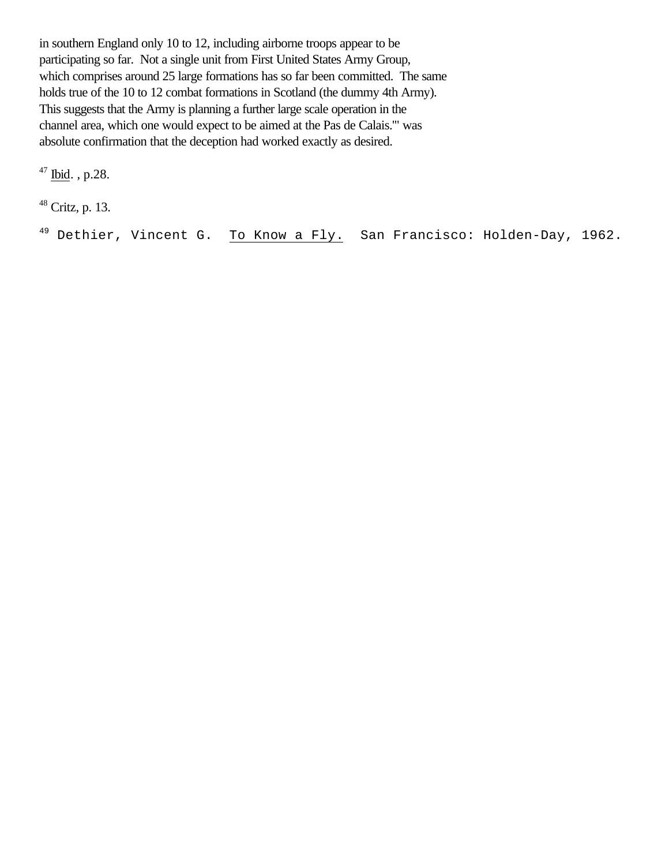in southern England only 10 to 12, including airborne troops appear to be participating so far. Not a single unit from First United States Army Group, which comprises around 25 large formations has so far been committed. The same holds true of the 10 to 12 combat formations in Scotland (the dummy 4th Army). This suggests that the Army is planning a further large scale operation in the channel area, which one would expect to be aimed at the Pas de Calais.'" was absolute confirmation that the deception had worked exactly as desired.

 $47$  Ibid., p.28.

<sup>48</sup> Critz, p. 13.

<sup>49</sup> Dethier, Vincent G. To Know a Fly. San Francisco: Holden-Day, 1962.